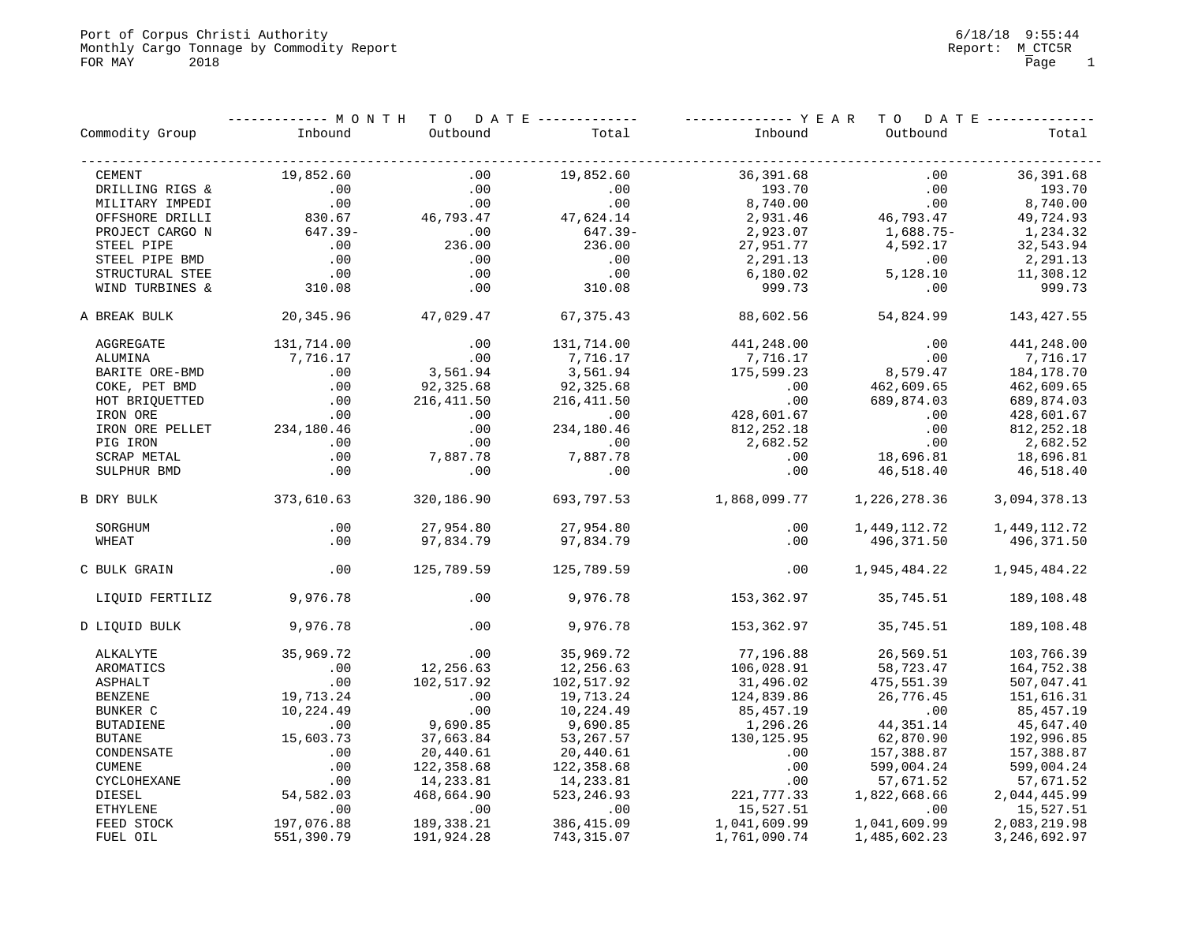Port of Corpus Christi Authority<br>Monthly Cargo Tonnage by Commodity Report **6/18/18 9:55:44**<br>Monthly Cargo Tonnage by Commodity Report Monthly Cargo Tonnage by Commodity Report  $M\_CTC5R$ FOR MAY 2018 2018 Page 1

|                    | --------- MONTH |                     | TO DATE ------------- |              |              | TO DATE ------------- |
|--------------------|-----------------|---------------------|-----------------------|--------------|--------------|-----------------------|
| Commodity Group    | Inbound         | Outbound            | Total                 | Inbound      | Outbound     | Total                 |
| CEMENT             | 19,852.60       | .00                 | 19,852.60             | 36,391.68    | .00          | 36,391.68             |
| DRILLING RIGS &    | .00             | .00                 | .00                   | 193.70       | .00          | 193.70                |
| MILITARY IMPEDI    | .00             | .00                 | .00                   | 8,740.00     | .00          | 8,740.00              |
| OFFSHORE DRILLI    | 830.67          | 46,793.47 47,624.14 |                       | 2,931.46     | 46,793.47    | 49,724.93             |
| PROJECT CARGO N    | 647.39-         | .00                 | $647.39 -$            | 2,923.07     | 1,688.75-    | 1,234.32              |
| STEEL PIPE         | .00             | 236.00              | 236.00                | 27,951.77    | 4,592.17     | 32,543.94             |
| STEEL PIPE BMD     | .00             | .00                 | .00                   | 2,291.13     | .00          | 2,291.13              |
| STRUCTURAL STEE    | .00             | .00                 | .00                   | 6,180.02     | 5,128.10     | 11,308.12             |
| WIND TURBINES &    | 310.08          | .00                 | 310.08                | 999.73       | $.00 \,$     | 999.73                |
| A BREAK BULK       | 20,345.96       | 47,029.47           | 67,375.43             | 88,602.56    | 54,824.99    | 143,427.55            |
| AGGREGATE          | 131,714.00      | .00                 | 131,714.00            | 441,248.00   | .00          | 441,248.00            |
| ALUMINA            | 7,716.17        | .00                 | 7,716.17              | 7,716.17     | .00          | 7,716.17              |
| BARITE ORE-BMD     | .00             | 3,561.94            | 3,561.94              | 175,599.23   | 8,579.47     | 184,178.70            |
| COKE, PET BMD      | .00             | 92,325.68           | 92,325.68             | .00          | 462,609.65   | 462,609.65            |
| HOT BRIQUETTED     | .00             | 216,411.50          | 216,411.50            | .00          | 689,874.03   | 689,874.03            |
| IRON ORE           | .00             | .00                 | .00                   | 428,601.67   | .00          | 428,601.67            |
| IRON ORE PELLET    | 234,180.46      | .00                 | 234,180.46            | 812,252.18   | .00          | 812, 252.18           |
| PIG IRON           | .00             | .00                 | .00                   | 2,682.52     | .00          | 2,682.52              |
| SCRAP METAL        | $.00 \,$        | 7,887.78            | 7,887.78              | .00          | 18,696.81    | 18,696.81             |
| SULPHUR BMD        | .00             | .00                 | .00                   | .00          | 46,518.40    | 46,518.40             |
| B DRY BULK         | 373,610.63      | 320,186.90          | 693,797.53            | 1,868,099.77 | 1,226,278.36 | 3,094,378.13          |
| SORGHUM            | .00             | 27,954.80           | 27,954.80             | .00          | 1,449,112.72 | 1,449,112.72          |
| WHEAT              | $.00 \ \rm$     | 97,834.79           | 97,834.79             | .00          | 496,371.50   | 496,371.50            |
| C BULK GRAIN       | $.00 \ \rm$     | 125,789.59          | 125,789.59            | .00          | 1,945,484.22 | 1,945,484.22          |
| LIQUID FERTILIZ    | 9,976.78        | .00                 | 9,976.78              | 153,362.97   | 35,745.51    | 189,108.48            |
| D LIQUID BULK      | 9,976.78        | .00                 | 9,976.78              | 153,362.97   | 35,745.51    | 189,108.48            |
| ALKALYTE           | 35,969.72       | .00                 | 35,969.72             | 77,196.88    | 26,569.51    | 103,766.39            |
| AROMATICS          | .00             | 12,256.63           | 12,256.63             | 106,028.91   | 58,723.47    | 164,752.38            |
| ASPHALT            | .00             | 102,517.92          | 102,517.92            | 31,496.02    | 475,551.39   | 507,047.41            |
| <b>BENZENE</b>     | 19,713.24       | .00                 | 19,713.24             | 124,839.86   | 26,776.45    | 151,616.31            |
| BUNKER C           | 10,224.49       | .00                 | 10,224.49             | 85, 457. 19  | .00          | 85, 457. 19           |
| <b>BUTADIENE</b>   | .00             | 9,690.85            | 9,690.85              | 1,296.26     | 44, 351. 14  | 45,647.40             |
| <b>BUTANE</b>      | 15,603.73       | 37,663.84           | 53, 267.57            | 130,125.95   | 62,870.90    | 192,996.85            |
| CONDENSATE         | .00             | 20,440.61           | 20,440.61             | .00          | 157,388.87   | 157,388.87            |
| CUMENE             | .00             | 122,358.68          | 122,358.68            | .00          | 599,004.24   | 599,004.24            |
| <b>CYCLOHEXANE</b> | .00             | 14,233.81           | 14,233.81             | .00          | 57,671.52    | 57,671.52             |
| DIESEL             | 54,582.03       | 468,664.90          | 523, 246.93           | 221, 777.33  | 1,822,668.66 | 2,044,445.99          |
| <b>ETHYLENE</b>    | .00             | .00                 | .00                   | 15,527.51    | .00          | 15,527.51             |
| FEED STOCK         | 197,076.88      | 189,338.21          | 386, 415.09           | 1,041,609.99 | 1,041,609.99 | 2,083,219.98          |
| FUEL OIL           | 551,390.79      | 191,924.28          | 743,315.07            | 1,761,090.74 | 1,485,602.23 | 3, 246, 692.97        |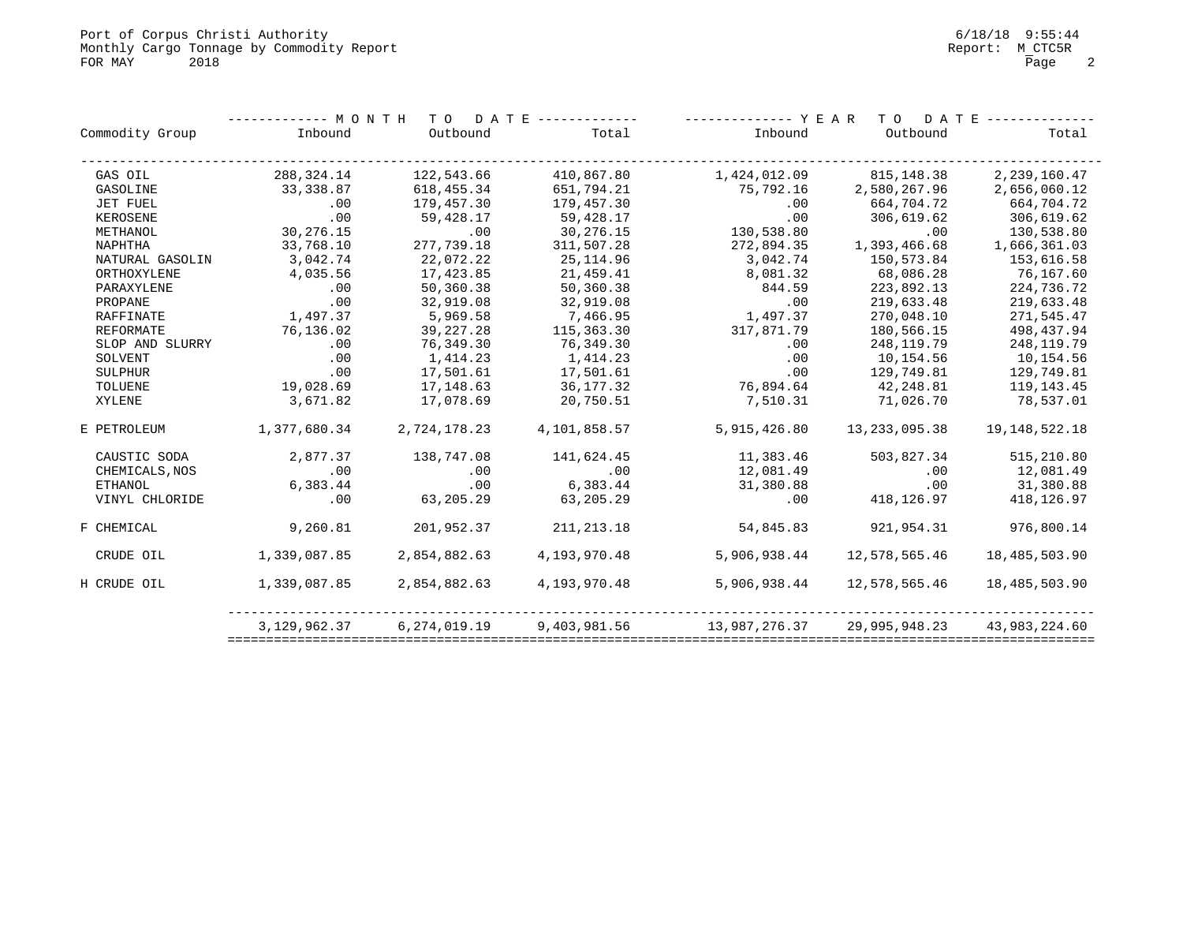|                 | --------- M O N T H<br>TO DATE ------------- |                 |              | ------------ Y E A R | D A T E<br>T O  |                  |  |
|-----------------|----------------------------------------------|-----------------|--------------|----------------------|-----------------|------------------|--|
| Commodity Group | Inbound                                      | Outbound        | Total        | Inbound              | Outbound        | Total            |  |
| GAS OIL         | 288,324.14                                   | 122,543.66      | 410,867.80   | 1,424,012.09         | 815,148.38      | 2, 239, 160.47   |  |
| GASOLINE        | 33,338.87                                    | 618,455.34      | 651,794.21   | 75,792.16            | 2,580,267.96    | 2,656,060.12     |  |
| JET FUEL        | .00                                          | 179,457.30      | 179,457.30   | .00                  | 664,704.72      | 664,704.72       |  |
| KEROSENE        | .00                                          | 59,428.17       | 59,428.17    | .00                  | 306,619.62      | 306,619.62       |  |
| METHANOL        | 30,276.15                                    | .00             | 30,276.15    | 130,538.80           | .00             | 130,538.80       |  |
| NAPHTHA         | 33,768.10                                    | 277,739.18      | 311,507.28   | 272,894.35           | 1,393,466.68    | 1,666,361.03     |  |
| NATURAL GASOLIN | 3,042.74                                     | 22,072.22       | 25,114.96    | 3,042.74             | 150,573.84      | 153,616.58       |  |
| ORTHOXYLENE     | 4,035.56                                     | 17,423.85       | 21,459.41    | 8,081.32             | 68,086.28       | 76,167.60        |  |
| PARAXYLENE      | .00                                          | 50,360.38       | 50,360.38    | 844.59               | 223,892.13      | 224,736.72       |  |
| PROPANE         | .00                                          | 32,919.08       | 32,919.08    | .00                  | 219,633.48      | 219,633.48       |  |
| RAFFINATE       | 1,497.37                                     | 5,969.58        | 7,466.95     | 1,497.37             | 270,048.10      | 271,545.47       |  |
| REFORMATE       | 76,136.02                                    | 39, 227. 28     | 115,363.30   | 317,871.79           | 180,566.15      | 498, 437.94      |  |
| SLOP AND SLURRY | .00                                          | 76,349.30       | 76,349.30    | .00                  | 248,119.79      | 248, 119.79      |  |
| SOLVENT         | .00                                          | 1,414.23        | 1,414.23     | .00                  | 10,154.56       | 10,154.56        |  |
| SULPHUR         | .00                                          | 17,501.61       | 17,501.61    | .00                  | 129,749.81      | 129,749.81       |  |
| TOLUENE         | 19,028.69                                    | 17,148.63       | 36,177.32    | 76,894.64            | 42,248.81       | 119,143.45       |  |
| XYLENE          | 3,671.82                                     | 17,078.69       | 20,750.51    | 7,510.31             | 71,026.70       | 78,537.01        |  |
| E PETROLEUM     | 1,377,680.34                                 | 2,724,178.23    | 4,101,858.57 | 5,915,426.80         | 13, 233, 095.38 | 19, 148, 522. 18 |  |
| CAUSTIC SODA    | 2,877.37                                     | 138,747.08      | 141,624.45   | 11,383.46            | 503,827.34      | 515,210.80       |  |
| CHEMICALS, NOS  | .00                                          | $\overline{00}$ | .00          | 12,081.49            | .00             | 12,081.49        |  |
| ETHANOL         | 6,383.44                                     | .00             | 6,383.44     | 31,380.88            | .00             | 31,380.88        |  |
| VINYL CHLORIDE  | .00                                          | 63,205.29       | 63,205.29    | .00                  | 418,126.97      | 418,126.97       |  |
| F CHEMICAL      | 9,260.81                                     | 201,952.37      | 211, 213.18  | 54,845.83            | 921,954.31      | 976,800.14       |  |
| CRUDE OIL       | 1,339,087.85                                 | 2,854,882.63    | 4,193,970.48 | 5,906,938.44         | 12,578,565.46   | 18,485,503.90    |  |
| H CRUDE OIL     | 1,339,087.85                                 | 2,854,882.63    | 4,193,970.48 | 5,906,938.44         | 12,578,565.46   | 18,485,503.90    |  |
|                 | 3,129,962.37                                 | 6, 274, 019.19  | 9,403,981.56 | 13,987,276.37        | 29,995,948.23   | 43,983,224.60    |  |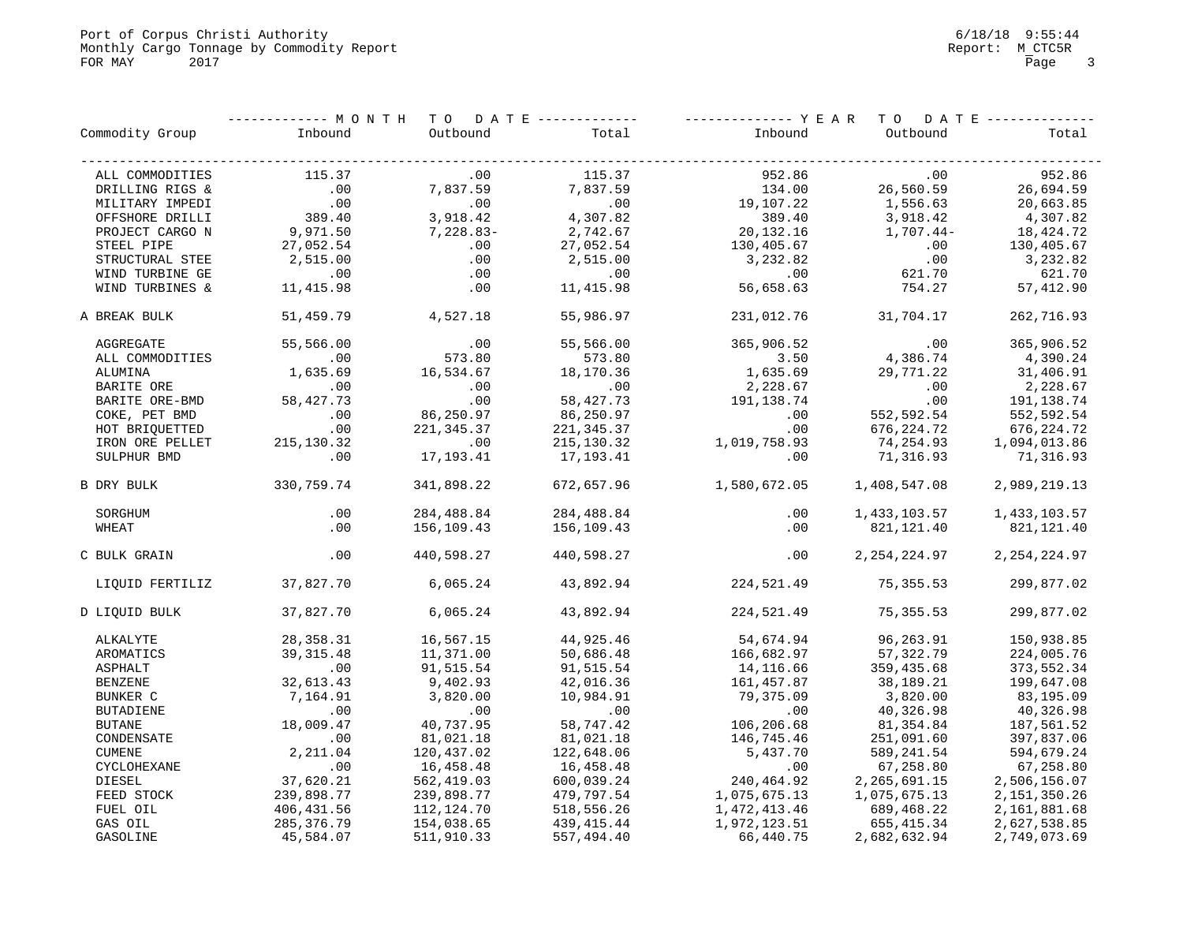Port of Corpus Christi Authority<br>
Monthly Cargo Tonnage by Commodity Report<br>
Monthly Cargo Tonnage by Commodity Report Monthly Cargo Tonnage by Commodity Report  $M\_CTC5R$ FOR MAY 2017 2017 Page 3

|                    |              | -------- MONTH TO DATE------------ |             |              | ----------- YEAR TO DATE-------------- |                 |
|--------------------|--------------|------------------------------------|-------------|--------------|----------------------------------------|-----------------|
| Commodity Group    | Inbound      | Outbound                           | Total       | Inbound      | Outbound                               | Total           |
| ALL COMMODITIES    | 115.37       | .00                                | 115.37      | 952.86       | .00                                    | 952.86          |
| DRILLING RIGS &    | .00          | 7,837.59                           | 7,837.59    | 134.00       | 26,560.59                              | 26,694.59       |
| MILITARY IMPEDI    | .00          | .00                                | .00         | 19,107.22    | 1,556.63                               | 20,663.85       |
| OFFSHORE DRILLI    | 389.40       | 3,918.42                           | 4,307.82    | 389.40       | 3,918.42                               | 4,307.82        |
| PROJECT CARGO N    | 9,971.50     | $7,228.83-$                        | 2,742.67    | 20,132.16    | 1,707.44-                              | 18,424.72       |
| STEEL PIPE         | 27,052.54    | .00                                | 27,052.54   | 130,405.67   | .00                                    | 130,405.67      |
| STRUCTURAL STEE    | 2,515.00     | .00                                | 2,515.00    | 3,232.82     | .00                                    | 3,232.82        |
| WIND TURBINE GE    | .00          | .00                                | .00         | .00          | 621.70                                 | 621.70          |
| WIND TURBINES &    | 11,415.98    | .00                                | 11,415.98   | 56,658.63    | 754.27                                 | 57,412.90       |
|                    |              |                                    |             |              |                                        |                 |
| A BREAK BULK       | 51,459.79    | 4,527.18                           | 55,986.97   | 231,012.76   | 31,704.17                              | 262,716.93      |
| AGGREGATE          | 55,566.00    | .00                                | 55,566.00   | 365,906.52   | .00                                    | 365,906.52      |
| ALL COMMODITIES    | .00          | 573.80                             | 573.80      | 3.50         | 4,386.74                               | 4,390.24        |
| ALUMINA            | 1,635.69     | 16,534.67                          | 18,170.36   | 1,635.69     | 29,771.22                              | 31,406.91       |
| BARITE ORE         | .00          | .00                                | .00         | 2,228.67     | .00                                    | 2,228.67        |
| BARITE ORE-BMD     | 58,427.73    | .00                                | 58, 427. 73 | 191,138.74   | .00                                    | 191,138.74      |
| COKE, PET BMD      | .00          | 86,250.97                          | 86,250.97   | .00          | 552,592.54                             | 552,592.54      |
| HOT BRIQUETTED     | .00          | 221,345.37                         | 221,345.37  | .00          | 676,224.72                             | 676, 224.72     |
| IRON ORE PELLET    | 215, 130.32  | .00                                | 215,130.32  | 1,019,758.93 | 74,254.93                              | 1,094,013.86    |
| SULPHUR BMD        | .00          | 17,193.41                          | 17,193.41   | .00          | 71,316.93                              | 71,316.93       |
| B DRY BULK         | 330,759.74   | 341,898.22                         | 672,657.96  | 1,580,672.05 | 1,408,547.08                           | 2,989,219.13    |
| SORGHUM            | $.00 \,$     | 284,488.84                         | 284,488.84  | .00          | 1,433,103.57                           | 1,433,103.57    |
| WHEAT              | $.00 \,$     | 156,109.43                         | 156,109.43  | .00          | 821,121.40                             | 821,121.40      |
| C BULK GRAIN       | $.00 \,$     | 440,598.27                         | 440,598.27  | $.00 \,$     | 2,254,224.97                           | 2, 254, 224.97  |
| LIQUID FERTILIZ    | 37,827.70    | 6,065.24                           | 43,892.94   | 224,521.49   | 75,355.53                              | 299,877.02      |
| D LIQUID BULK      | 37,827.70    | 6,065.24                           | 43,892.94   | 224,521.49   | 75,355.53                              | 299,877.02      |
| ALKALYTE           | 28, 358. 31  | 16,567.15                          | 44,925.46   | 54,674.94    | 96,263.91                              | 150,938.85      |
| AROMATICS          | 39, 315.48   | 11,371.00                          | 50,686.48   | 166,682.97   | 57, 322.79                             | 224,005.76      |
| <b>ASPHALT</b>     | .00          | 91,515.54                          | 91,515.54   | 14,116.66    | 359,435.68                             | 373,552.34      |
| <b>BENZENE</b>     | 32,613.43    | 9,402.93                           | 42,016.36   | 161, 457.87  | 38,189.21                              | 199,647.08      |
| BUNKER C           | 7,164.91     | 3,820.00                           | 10,984.91   | 79,375.09    | 3,820.00                               | 83,195.09       |
| <b>BUTADIENE</b>   | .00          | .00                                | .00         | .00          | 40,326.98                              | 40,326.98       |
| <b>BUTANE</b>      | 18,009.47    | 40,737.95                          | 58,747.42   | 106,206.68   | 81,354.84                              | 187,561.52      |
| CONDENSATE         | .00          | 81,021.18                          | 81,021.18   | 146,745.46   | 251,091.60                             | 397,837.06      |
| <b>CUMENE</b>      | 2,211.04     | 120,437.02                         | 122,648.06  | 5,437.70     | 589,241.54                             | 594,679.24      |
| <b>CYCLOHEXANE</b> | .00          | 16,458.48                          | 16,458.48   | .00          | 67,258.80                              | 67,258.80       |
| DIESEL             | 37,620.21    | 562,419.03                         | 600,039.24  | 240,464.92   | 2, 265, 691.15                         | 2,506,156.07    |
| FEED STOCK         | 239,898.77   | 239,898.77                         | 479,797.54  | 1,075,675.13 | 1,075,675.13                           | 2, 151, 350. 26 |
| FUEL OIL           | 406, 431.56  | 112,124.70                         | 518,556.26  | 1,472,413.46 | 689,468.22                             | 2,161,881.68    |
| GAS OIL            | 285, 376. 79 | 154,038.65                         | 439, 415.44 | 1,972,123.51 | 655,415.34                             | 2,627,538.85    |
| GASOLINE           | 45,584.07    | 511,910.33                         | 557,494.40  | 66,440.75    | 2,682,632.94                           | 2,749,073.69    |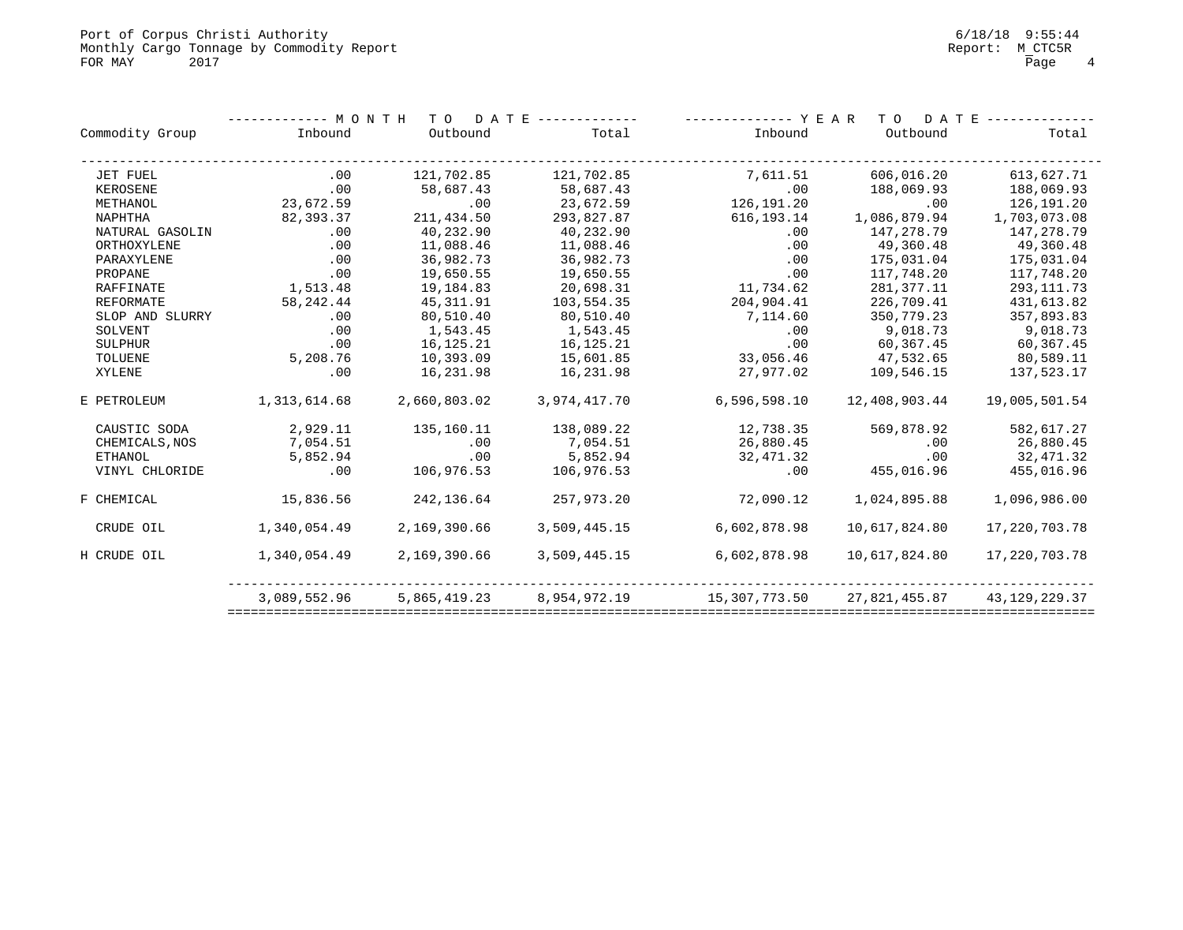|                  | ---- M O N T H | D A T E<br>T O |              | YEAR          | T O           | D A T E          |  |  |
|------------------|----------------|----------------|--------------|---------------|---------------|------------------|--|--|
| Commodity Group  | Inbound        | Outbound       | Total        | Inbound       | Outbound      | Total            |  |  |
| JET FUEL         | .00            | 121,702.85     | 121,702.85   | 7,611.51      | 606,016.20    | 613,627.71       |  |  |
| KEROSENE         | .00            | 58,687.43      | 58,687.43    | .00           | 188,069.93    | 188,069.93       |  |  |
| METHANOL         | 23,672.59      | .00            | 23,672.59    | 126,191.20    | .00           | 126,191.20       |  |  |
| NAPHTHA          | 82,393.37      | 211,434.50     | 293,827.87   | 616, 193. 14  | 1,086,879.94  | 1,703,073.08     |  |  |
| NATURAL GASOLIN  | .00            | 40,232.90      | 40,232.90    | .00           | 147,278.79    | 147,278.79       |  |  |
| ORTHOXYLENE      | .00            | 11,088.46      | 11,088.46    | .00           | 49,360.48     | 49,360.48        |  |  |
| PARAXYLENE       | .00            | 36,982.73      | 36,982.73    | .00           | 175,031.04    | 175,031.04       |  |  |
| PROPANE          | .00            | 19,650.55      | 19,650.55    | .00           | 117,748.20    | 117,748.20       |  |  |
| RAFFINATE        | 1,513.48       | 19,184.83      | 20,698.31    | 11,734.62     | 281, 377. 11  | 293, 111.73      |  |  |
| <b>REFORMATE</b> | 58, 242.44     | 45, 311.91     | 103,554.35   | 204,904.41    | 226,709.41    | 431,613.82       |  |  |
| SLOP AND SLURRY  | .00            | 80,510.40      | 80,510.40    | 7,114.60      | 350,779.23    | 357,893.83       |  |  |
| SOLVENT          | .00            | 1,543.45       | 1,543.45     | .00           | 9,018.73      | 9,018.73         |  |  |
| <b>SULPHUR</b>   | .00            | 16,125.21      | 16, 125. 21  | .00           | 60,367.45     | 60,367.45        |  |  |
| TOLUENE          | 5,208.76       | 10,393.09      | 15,601.85    | 33,056.46     | 47,532.65     | 80,589.11        |  |  |
| XYLENE           | .00            | 16,231.98      | 16,231.98    | 27,977.02     | 109,546.15    | 137,523.17       |  |  |
| E PETROLEUM      | 1,313,614.68   | 2,660,803.02   | 3,974,417.70 | 6,596,598.10  | 12,408,903.44 | 19,005,501.54    |  |  |
| CAUSTIC SODA     | 2,929.11       | 135,160.11     | 138,089.22   | 12,738.35     | 569,878.92    | 582,617.27       |  |  |
| CHEMICALS, NOS   | 7,054.51       | .00            | 7,054.51     | 26,880.45     | .00           | 26,880.45        |  |  |
| ETHANOL          | 5,852.94       | .00            | 5,852.94     | 32,471.32     | .00           | 32,471.32        |  |  |
| VINYL CHLORIDE   | .00            | 106,976.53     | 106,976.53   | .00           | 455,016.96    | 455,016.96       |  |  |
| F CHEMICAL       | 15,836.56      | 242,136.64     | 257,973.20   | 72,090.12     | 1,024,895.88  | 1,096,986.00     |  |  |
| CRUDE OIL        | 1,340,054.49   | 2,169,390.66   | 3,509,445.15 | 6,602,878.98  | 10,617,824.80 | 17, 220, 703. 78 |  |  |
| H CRUDE OIL      | 1,340,054.49   | 2,169,390.66   | 3,509,445.15 | 6,602,878.98  | 10,617,824.80 | 17,220,703.78    |  |  |
|                  | 3,089,552.96   | 5,865,419.23   | 8,954,972.19 | 15,307,773.50 | 27,821,455.87 | 43, 129, 229. 37 |  |  |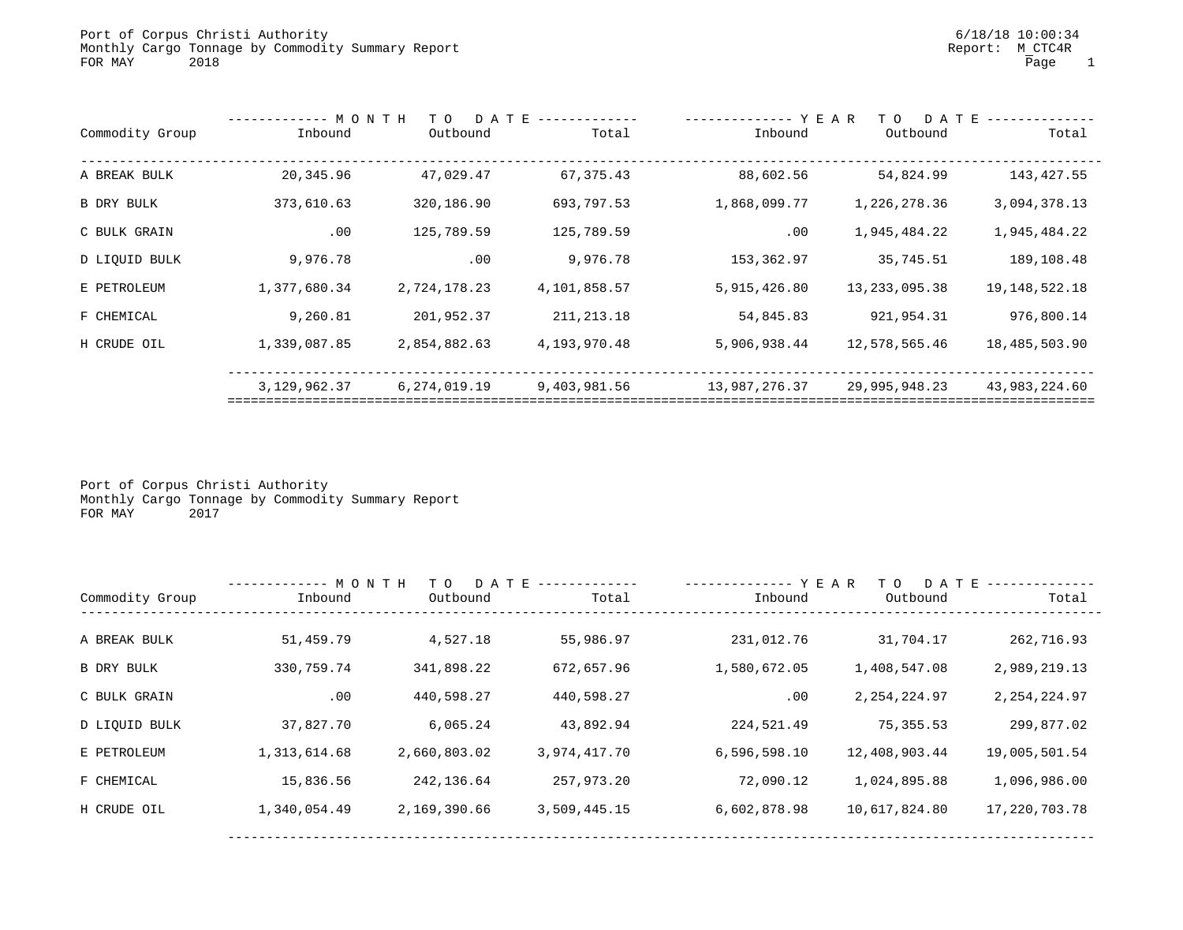|                 |                 | MONTH<br>YEAR<br>D A T E<br>T O |              |               | T O             | D A T E          |  |
|-----------------|-----------------|---------------------------------|--------------|---------------|-----------------|------------------|--|
| Commodity Group | Inbound         | Outbound                        | Total        | Inbound       | Outbound        | Total            |  |
| A BREAK BULK    | 20,345.96       | 47,029.47                       | 67, 375.43   | 88,602.56     | 54,824.99       | 143,427.55       |  |
| B DRY BULK      | 373,610.63      | 320,186.90                      | 693,797.53   | 1,868,099.77  | 1,226,278.36    | 3,094,378.13     |  |
| C BULK GRAIN    | .00             | 125,789.59                      | 125,789.59   | .00           | 1,945,484.22    | 1,945,484.22     |  |
| D LIQUID BULK   | 9,976.78        | .00                             | 9,976.78     | 153,362.97    | 35,745.51       | 189,108.48       |  |
| E PETROLEUM     | 1,377,680.34    | 2,724,178.23                    | 4,101,858.57 | 5,915,426.80  | 13, 233, 095.38 | 19, 148, 522. 18 |  |
| F CHEMICAL      | 9,260.81        | 201,952.37                      | 211, 213.18  | 54,845.83     | 921, 954.31     | 976,800.14       |  |
| H CRUDE OIL     | 1,339,087.85    | 2,854,882.63                    | 4,193,970.48 | 5,906,938.44  | 12,578,565.46   | 18,485,503.90    |  |
|                 | 3, 129, 962. 37 | 6,274,019.19                    | 9,403,981.56 | 13,987,276.37 | 29,995,948.23   | 43,983,224.60    |  |
|                 |                 |                                 |              |               |                 |                  |  |

Port of Corpus Christi Authority Monthly Cargo Tonnage by Commodity Summary Report FOR MAY 2017

|                 | ------------ M O N T H | D A T E<br>T O |              | -------------- Y E A R | D A T E<br>T O |                  |
|-----------------|------------------------|----------------|--------------|------------------------|----------------|------------------|
| Commodity Group | Inbound                | Outbound       | Total        | Inbound                | Outbound       | Total            |
|                 |                        |                |              |                        |                |                  |
| A BREAK BULK    | 51,459.79              | 4,527.18       | 55,986.97    | 231,012.76             | 31,704.17      | 262,716.93       |
| B DRY BULK      | 330,759.74             | 341,898.22     | 672,657.96   | 1,580,672.05           | 1,408,547.08   | 2,989,219.13     |
| C BULK GRAIN    | .00                    | 440,598.27     | 440,598.27   | .00                    | 2, 254, 224.97 | 2, 254, 224.97   |
| D LIQUID BULK   | 37,827.70              | 6,065.24       | 43,892.94    | 224,521.49             | 75, 355.53     | 299,877.02       |
| E PETROLEUM     | 1,313,614.68           | 2,660,803.02   | 3,974,417.70 | 6,596,598.10           | 12,408,903.44  | 19,005,501.54    |
| F CHEMICAL      | 15,836.56              | 242,136.64     | 257,973.20   | 72,090.12              | 1,024,895.88   | 1,096,986.00     |
| H CRUDE OIL     | 1,340,054.49           | 2,169,390.66   | 3,509,445.15 | 6,602,878.98           | 10,617,824.80  | 17, 220, 703. 78 |
|                 |                        |                |              |                        |                |                  |